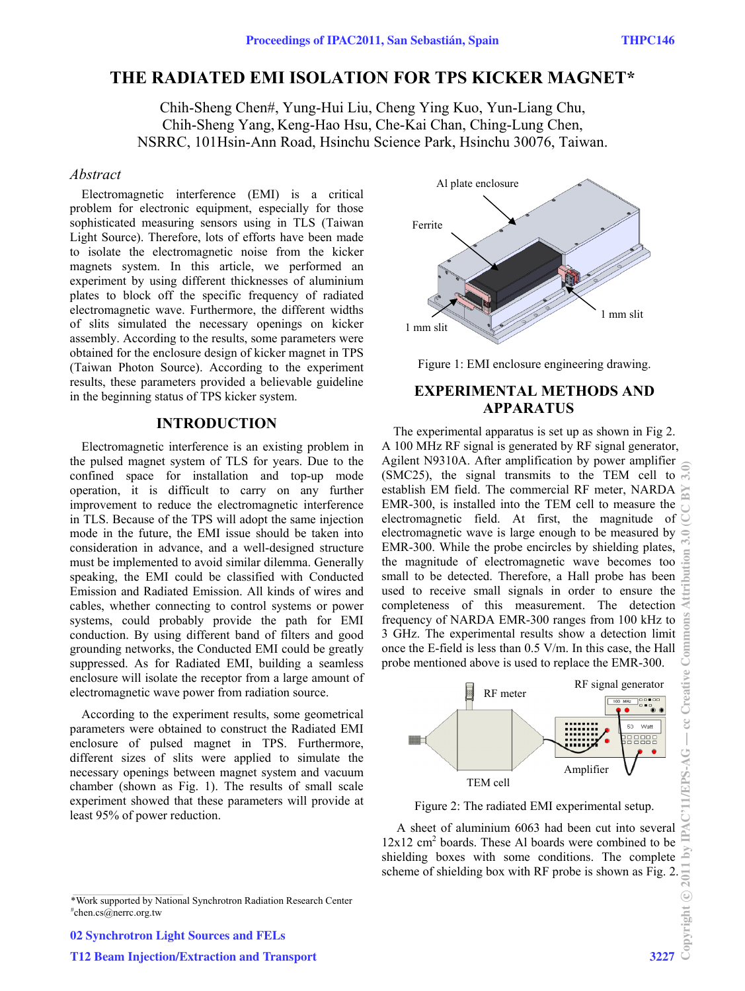# **THE RADIATED EMI ISOLATION FOR TPS KICKER MAGNET\***

Chih-Sheng Chen#, Yung-Hui Liu, Cheng Ying Kuo, Yun-Liang Chu, Chih-Sheng Yang, Keng-Hao Hsu, Che-Kai Chan, Ching-Lung Chen, NSRRC, 101Hsin-Ann Road, Hsinchu Science Park, Hsinchu 30076, Taiwan.

### *Abstract*

Electromagnetic interference (EMI) is a critical problem for electronic equipment, especially for those sophisticated measuring sensors using in TLS (Taiwan Light Source). Therefore, lots of efforts have been made to isolate the electromagnetic noise from the kicker magnets system. In this article, we performed an experiment by using different thicknesses of aluminium plates to block off the specific frequency of radiated electromagnetic wave. Furthermore, the different widths of slits simulated the necessary openings on kicker assembly. According to the results, some parameters were obtained for the enclosure design of kicker magnet in TPS (Taiwan Photon Source). According to the experiment results, these parameters provided a believable guideline in the beginning status of TPS kicker system.

### **INTRODUCTION**

Electromagnetic interference is an existing problem in the pulsed magnet system of TLS for years. Due to the confined space for installation and top-up mode operation, it is difficult to carry on any further improvement to reduce the electromagnetic interference in TLS. Because of the TPS will adopt the same injection mode in the future, the EMI issue should be taken into consideration in advance, and a well-designed structure must be implemented to avoid similar dilemma. Generally speaking, the EMI could be classified with Conducted Emission and Radiated Emission. All kinds of wires and cables, whether connecting to control systems or power systems, could probably provide the path for EMI conduction. By using different band of filters and good grounding networks, the Conducted EMI could be greatly suppressed. As for Radiated EMI, building a seamless enclosure will isolate the receptor from a large amount of electromagnetic wave power from radiation source.

According to the experiment results, some geometrical parameters were obtained to construct the Radiated EMI enclosure of pulsed magnet in TPS. Furthermore, different sizes of slits were applied to simulate the necessary openings between magnet system and vacuum chamber (shown as Fig. 1). The results of small scale experiment showed that these parameters will provide at least 95% of power reduction.





Figure 1: EMI enclosure engineering drawing.

# **EXPERIMENTAL METHODS AND APPARATUS**

The experimental apparatus is set up as shown in Fig 2. A 100 MHz RF signal is generated by RF signal generator, Agilent N9310A. After amplification by power amplifier (SMC25), the signal transmits to the TEM cell to establish EM field. The commercial RF meter, NARDA EMR-300, is installed into the TEM cell to measure the electromagnetic field. At first, the magnitude of electromagnetic wave is large enough to be measured by EMR-300. While the probe encircles by shielding plates, the magnitude of electromagnetic wave becomes too small to be detected. Therefore, a Hall probe has been used to receive small signals in order to ensure the completeness of this measurement. The detection frequency of NARDA EMR-300 ranges from 100 kHz to 3 GHz. The experimental results show a detection limit once the E-field is less than 0.5 V/m. In this case, the Hall probe mentioned above is used to replace the EMR-300.



Figure 2: The radiated EMI experimental setup.

 A sheet of aluminium 6063 had been cut into several  $12x12$  cm<sup>2</sup> boards. These Al boards were combined to be shielding boxes with some conditions. The complete sine of shielding box with RF probe is shown as Fig. 2.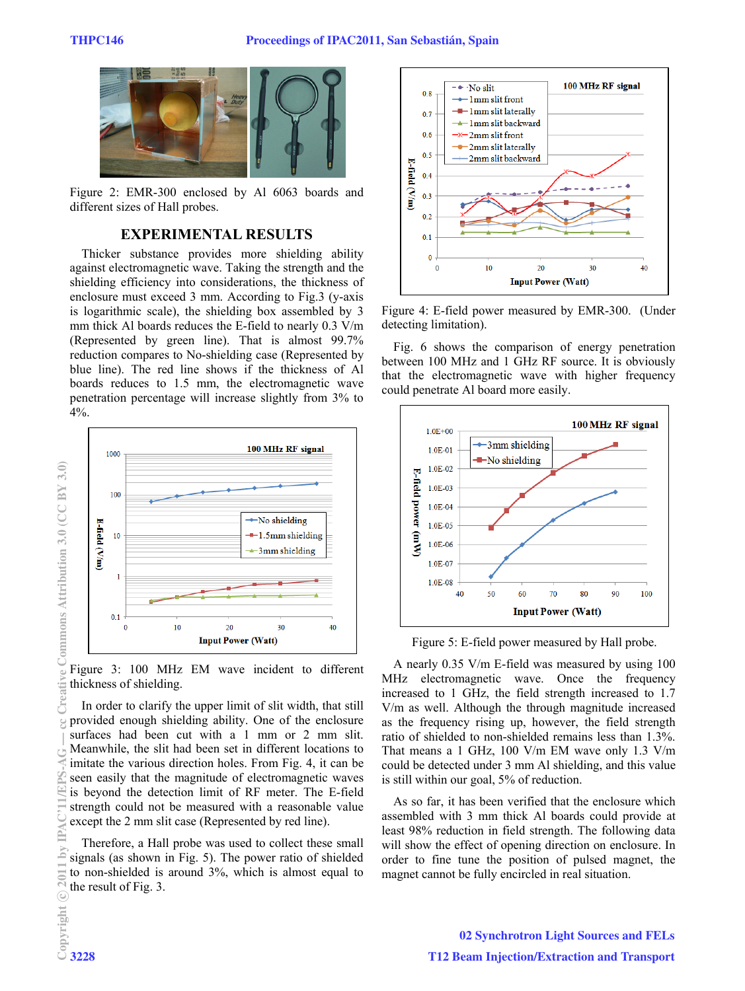

Figure 2: EMR-300 enclosed by Al 6063 boards and different sizes of Hall probes.

## **EXPERIMENTAL RESULTS**

Thicker substance provides more shielding ability against electromagnetic wave. Taking the strength and the shielding efficiency into considerations, the thickness of enclosure must exceed 3 mm. According to Fig.3 (y-axis is logarithmic scale), the shielding box assembled by 3 mm thick Al boards reduces the E-field to nearly 0.3 V/m (Represented by green line). That is almost 99.7% reduction compares to No-shielding case (Represented by blue line). The red line shows if the thickness of Al boards reduces to 1.5 mm, the electromagnetic wave penetration percentage will increase slightly from 3% to 4%.



Figure 3: 100 MHz EM wave incident to different thickness of shielding.

In order to clarify the upper limit of slit width, that still provided enough shielding ability. One of the enclosure surfaces had been cut with a 1 mm or 2 mm slit. Meanwhile, the slit had been set in different locations to imitate the various direction holes. From Fig. 4, it can be seen easily that the magnitude of electromagnetic waves is beyond the detection limit of RF meter. The E-field strength could not be measured with a reasonable value except the 2 mm slit case (Represented by red line).

Therefore, a Hall probe was used to collect these small signals (as shown in Fig. 5). The power ratio of shielded to non-shielded is around 3%, which is almost equal to the result of Fig. 3.



Figure 4: E-field power measured by EMR-300. (Under detecting limitation).

Fig. 6 shows the comparison of energy penetration between 100 MHz and 1 GHz RF source. It is obviously that the electromagnetic wave with higher frequency could penetrate Al board more easily.



Figure 5: E-field power measured by Hall probe.

A nearly 0.35 V/m E-field was measured by using 100 MHz electromagnetic wave. Once the frequency increased to 1 GHz, the field strength increased to 1.7 V/m as well. Although the through magnitude increased as the frequency rising up, however, the field strength ratio of shielded to non-shielded remains less than 1.3%. That means a 1 GHz, 100 V/m EM wave only 1.3 V/m could be detected under 3 mm Al shielding, and this value is still within our goal, 5% of reduction.

As so far, it has been verified that the enclosure which assembled with 3 mm thick Al boards could provide at least 98% reduction in field strength. The following data will show the effect of opening direction on enclosure. In order to fine tune the position of pulsed magnet, the magnet cannot be fully encircled in real situation.